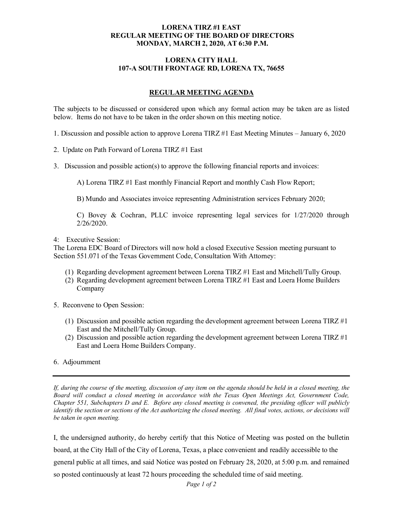## **LORENA TIRZ #1 EAST REGULAR MEETING OF THE BOARD OF DIRECTORS MONDAY, MARCH 2, 2020, AT 6:30 P.M.**

## **LORENA CITY HALL 107-A SOUTH FRONTAGE RD, LORENA TX, 76655**

## **REGULAR MEETING AGENDA**

The subjects to be discussed or considered upon which any formal action may be taken are as listed below. Items do not have to be taken in the order shown on this meeting notice.

- 1. Discussion and possible action to approve Lorena TIRZ #1 East Meeting Minutes January 6, 2020
- 2. Update on Path Forward of Lorena TIRZ #1 East
- 3. Discussion and possible action(s) to approve the following financial reports and invoices:

A) Lorena TIRZ #1 East monthly Financial Report and monthly Cash Flow Report;

B) Mundo and Associates invoice representing Administration services February 2020;

C) Bovey & Cochran, PLLC invoice representing legal services for 1/27/2020 through 2/26/2020.

4: Executive Session:

The Lorena EDC Board of Directors will now hold a closed Executive Session meeting pursuant to Section 551.071 of the Texas Government Code, Consultation With Attorney:

- (1) Regarding development agreement between Lorena TIRZ #1 East and Mitchell/Tully Group.
- (2) Regarding development agreement between Lorena TIRZ #1 East and Loera Home Builders Company
- 5. Reconvene to Open Session:
	- (1) Discussion and possible action regarding the development agreement between Lorena TIRZ #1 East and the Mitchell/Tully Group.
	- (2) Discussion and possible action regarding the development agreement between Lorena TIRZ #1 East and Loera Home Builders Company.
- 6. Adjournment

*If, during the course of the meeting, discussion of any item on the agenda should be held in a closed meeting, the Board will conduct a closed meeting in accordance with the Texas Open Meetings Act, Government Code, Chapter 551, Subchapters D and E. Before any closed meeting is convened, the presiding officer will publicly identify the section or sections of the Act authorizing the closed meeting. All final votes, actions, or decisions will be taken in open meeting.*

I, the undersigned authority, do hereby certify that this Notice of Meeting was posted on the bulletin board, at the City Hall of the City of Lorena, Texas, a place convenient and readily accessible to the general public at all times, and said Notice was posted on February 28, 2020, at 5:00 p.m. and remained so posted continuously at least 72 hours proceeding the scheduled time of said meeting.